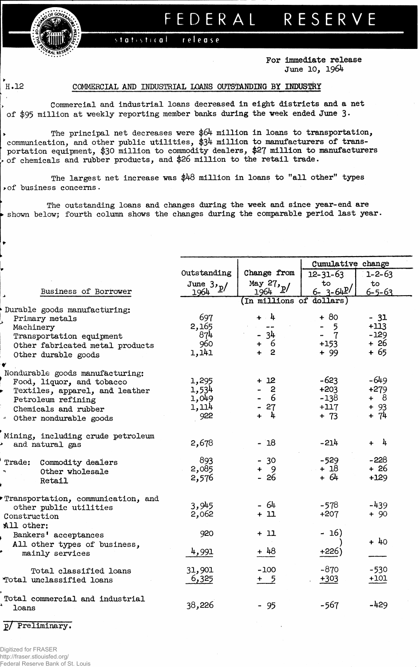## **FEDERA L RESERV E**

statistical release

> **For immediate release June 10, 1964**

## **H.12 COMMERCIAL AMD INDUSTRIAL LOANS OUTSTANDING BY INDUSTRY**

**Commercial and industrial loans decreased in eight districts and a net of \$95 million at veekly reporting member "banks during the week ended June 3 •**

**• The principal net decreases were \$64 million in loans to transportation, communication, and other public utilities, \$34 million to manufacturers of transportation equipment, \$30 million to commodity dealers, \$27 million to manufacturers » of chemicals and rubber products, and \$26 million to the retail trade.**

**The largest net increase was \$48 million in loans to "all other" types >of business concerns.**

**The outstanding loans and changes during the week and since year-end are • shown below; fourth column shows the changes during the comparable period last year.**

|                                                              |                |                                 | Cumulative change |                       |  |  |  |  |
|--------------------------------------------------------------|----------------|---------------------------------|-------------------|-----------------------|--|--|--|--|
|                                                              | Outstanding    | Change from                     | $12 - 31 - 63$    | $1 - 2 - 63$          |  |  |  |  |
|                                                              | June $3y_p/$   | May $27$ , $p/$                 | to                | to                    |  |  |  |  |
| Business of Borrower                                         | 1964           | 1964<br>In millions of dollars) | $6 - 3 - 64P'$    | $6 - 5 - 63$          |  |  |  |  |
| Durable goods manufacturing:                                 |                |                                 |                   |                       |  |  |  |  |
| Primary metals                                               | 697            | $+ 4$                           | $+80$             | $-31$                 |  |  |  |  |
| Machinery                                                    | 2,165          | $- -$                           | 5                 | $+113$                |  |  |  |  |
| Transportation equipment                                     | 874            | $-34$                           | $\overline{7}$    | $-129$                |  |  |  |  |
| Other fabricated metal products                              | 960            | + 6                             | $+153$            | + 26                  |  |  |  |  |
| Other durable goods                                          | 1,141          | $+2$                            | $+99$             | $+65$                 |  |  |  |  |
|                                                              |                |                                 |                   |                       |  |  |  |  |
| Nondurable goods manufacturing:                              |                |                                 |                   |                       |  |  |  |  |
| Food, liquor, and tobacco                                    | 1,295          | $+12$<br>$\overline{c}$         | $-623$            | $-649$                |  |  |  |  |
| Textiles, apparel, and leather                               | 1,534          | 6                               | $+203$            | $+279$                |  |  |  |  |
| Petroleum refining                                           | 1,049<br>1,114 |                                 | $-138$<br>$+117$  | + 8                   |  |  |  |  |
| Chemicals and rubber                                         | 922            | $-27$<br>$+$ 4                  | $+ 73$            | $+93$<br>$+ 74$       |  |  |  |  |
| - Other nondurable goods                                     |                |                                 |                   |                       |  |  |  |  |
| Mining, including crude petroleum                            |                |                                 |                   |                       |  |  |  |  |
| and natural gas                                              | 2,678          | $-18$                           | $-214$            | $-\frac{1}{4}$<br>$+$ |  |  |  |  |
|                                                              |                |                                 |                   |                       |  |  |  |  |
| Commodity dealers<br>Trade:                                  | 893            | $-30$                           | $-529$            | $-228$                |  |  |  |  |
| Other wholesale                                              | 2,085          | $+ 9$                           | $+18$             | $+26$                 |  |  |  |  |
| Retail                                                       | 2,576          | - 26                            | $+ 64$            | $+129$                |  |  |  |  |
|                                                              |                |                                 |                   |                       |  |  |  |  |
| Transportation, communication, and<br>other public utilities | 3,945          | - 64                            | $-578$            | $-439$                |  |  |  |  |
| Construction                                                 | 2,062          | $+11$                           | $+207$            | $+90$                 |  |  |  |  |
| All other:                                                   |                |                                 |                   |                       |  |  |  |  |
| Bankers' acceptances                                         | 920            | $+11$                           | - 16)             |                       |  |  |  |  |
| All other types of business,                                 |                |                                 |                   | $+40$                 |  |  |  |  |
| mainly services                                              | 4,991          | $+48$                           | $+226)$           |                       |  |  |  |  |
|                                                              |                |                                 |                   |                       |  |  |  |  |
| Total classified loans                                       | 31,901         | $-100$                          | $-870$            | $-530$                |  |  |  |  |
| Total unclassified loans                                     | 6,325          | + 5                             | $+303$            | $+101$                |  |  |  |  |
|                                                              |                |                                 |                   |                       |  |  |  |  |
| Total commercial and industrial                              |                |                                 |                   |                       |  |  |  |  |
| loans                                                        | 38,226         | $-95$                           | $-567$            | $-429$                |  |  |  |  |
|                                                              |                |                                 |                   |                       |  |  |  |  |

**2/ Preliminary?**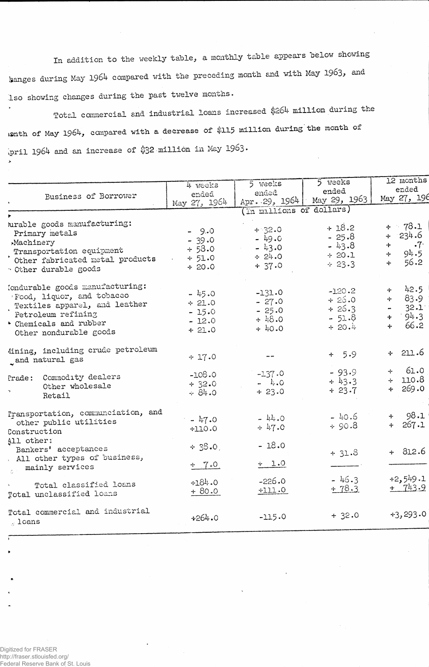In addition to the weekly table, a monthly table appears below showing hanges during May 1964 compared with the preceding month and with May 1963, and Iso showing changes during the past twelve months.

Total commercial and industrial loans increased \$264 million during the uenth of May 1964, compared with a decrease of \$115 million during the month of ipril 1964 and an increase of \$32 million in May 1963.

|                                    | 4 weeks      | 5 weeks                  | 5 weeks                      | 12 months              |  |  |
|------------------------------------|--------------|--------------------------|------------------------------|------------------------|--|--|
| Business of Borrower               | ended.       | ended                    | ended                        | ended                  |  |  |
|                                    | May 27, 1964 |                          | Apr. 29, 1964   May 29, 1963 | May 27, 19             |  |  |
|                                    |              | (In millions of dollars) |                              |                        |  |  |
| urable goods manufacturing:        |              |                          |                              |                        |  |  |
| Primary metals                     | $-9.0$       | $+32.0$                  | $+18.2$                      | $+ 78.1$               |  |  |
| Machinery                          | $-39.0$      | $-49.0$                  | $-25.8$                      | $+ 234.6$              |  |  |
| Transportation equipment           | + 58.0       | $-43.0$                  | $-43.8$                      | $\cdot 7$<br>4         |  |  |
| Other fabricated metal products    | $+51.0$      | $\div 24.0$              | $+20.1$                      | 94.5<br>÷              |  |  |
| Other durable goods                | $+20.0$      | $+37.0$                  | $\div$ 23.3                  | 56.2<br>$+$            |  |  |
| (ondurable goods manufacturing:    |              |                          |                              | 42.5                   |  |  |
| Food, liquor, and tobacco          | $-45.0$      | $-131.0$                 | $-120.2$                     | $+$<br>$+ 83.9$        |  |  |
| Textiles apparel, and leather      | $+21.0$      | $-27.0$                  | $+26.0$                      |                        |  |  |
| Petroleum refining                 | $-15.0$      | $-25.0$                  | $+26.3$                      | 32.1<br>$\blacksquare$ |  |  |
| · Chemicals and rubber             | $-12.0$      | $+48.0$                  | $-51.8$                      | 94.3<br>÷<br>66.2      |  |  |
| Other nondurable goods             | $+21.0$      | $+40.0$                  | $+20.4$                      | 4                      |  |  |
| Mining, including crude petroleum  |              |                          | $+ 5.9$                      | $+211.6$               |  |  |
| and natural gas                    | $+17.0$      |                          |                              |                        |  |  |
| Prade: Commodity dealers           | $-108.0$     | $-137.0$                 | $-93.9$                      | $+ 61.0$               |  |  |
| Other wholesale                    | $+ 32.0$     | $- 4.0$                  | $+43.3$                      | $+ 110.8$              |  |  |
| Retail                             | $-84.0$      | $+23.0$                  | $+23.7$                      | $+ 269.0$              |  |  |
| Pransportation, communciation, and |              |                          | $-40.6$                      | $+ 98.1$               |  |  |
| other public utilities             | $-47.0$      | $-44.0$                  | $8.00 +$                     | 267.1<br>$+$ $-$       |  |  |
| Construction                       | $+110.0$     | $+47.0$                  |                              |                        |  |  |
| All other:                         |              |                          |                              |                        |  |  |
| Bankers' acceptances               | $+ 38.0$     | $-18.0$                  | $+31.3$                      | $+ 812.6$              |  |  |
| All other types of business,       |              |                          |                              |                        |  |  |
| mainly services                    | $+ 7.0$      | $+ 1.0$                  |                              |                        |  |  |
|                                    | $+184.0$     | $-226.0$                 | $-46.3$                      | $+2,549.1$             |  |  |
| Total classified loans             | $+80.0$      | $+111.0$                 | $+78.3$                      | $+ 743.9$              |  |  |
| Total unclassified loans           |              |                          |                              |                        |  |  |
| Total commercial and industrial    | $+264.0$     | $-115.0$                 | $+32.0$                      | $+3,293.0$             |  |  |
| $\sim$ loans                       |              |                          |                              |                        |  |  |

X